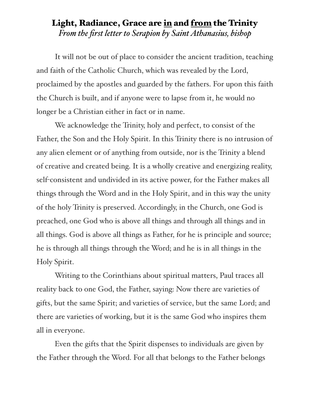## Light, Radiance, Grace are in and from the Trinity *From the first letter to Serapion by Saint Athanasius, bishop*

It will not be out of place to consider the ancient tradition, teaching and faith of the Catholic Church, which was revealed by the Lord, proclaimed by the apostles and guarded by the fathers. For upon this faith the Church is built, and if anyone were to lapse from it, he would no longer be a Christian either in fact or in name.

We acknowledge the Trinity, holy and perfect, to consist of the Father, the Son and the Holy Spirit. In this Trinity there is no intrusion of any alien element or of anything from outside, nor is the Trinity a blend of creative and created being. It is a wholly creative and energizing reality, self-consistent and undivided in its active power, for the Father makes all things through the Word and in the Holy Spirit, and in this way the unity of the holy Trinity is preserved. Accordingly, in the Church, one God is preached, one God who is above all things and through all things and in all things. God is above all things as Father, for he is principle and source; he is through all things through the Word; and he is in all things in the Holy Spirit.

Writing to the Corinthians about spiritual matters, Paul traces all reality back to one God, the Father, saying: Now there are varieties of gifts, but the same Spirit; and varieties of service, but the same Lord; and there are varieties of working, but it is the same God who inspires them all in everyone.

Even the gifts that the Spirit dispenses to individuals are given by the Father through the Word. For all that belongs to the Father belongs